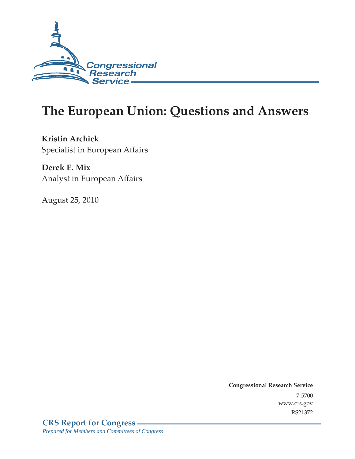

# **The European Union: Questions and Answers**

**Kristin Archick**  Specialist in European Affairs

**Derek E. Mix**  Analyst in European Affairs

August 25, 2010

**Congressional Research Service** 7-5700 www.crs.gov RS21372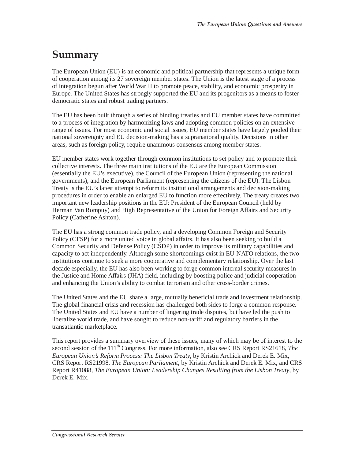### **Summary**

The European Union (EU) is an economic and political partnership that represents a unique form of cooperation among its 27 sovereign member states. The Union is the latest stage of a process of integration begun after World War II to promote peace, stability, and economic prosperity in Europe. The United States has strongly supported the EU and its progenitors as a means to foster democratic states and robust trading partners.

The EU has been built through a series of binding treaties and EU member states have committed to a process of integration by harmonizing laws and adopting common policies on an extensive range of issues. For most economic and social issues, EU member states have largely pooled their national sovereignty and EU decision-making has a supranational quality. Decisions in other areas, such as foreign policy, require unanimous consensus among member states.

EU member states work together through common institutions to set policy and to promote their collective interests. The three main institutions of the EU are the European Commission (essentially the EU's executive), the Council of the European Union (representing the national governments), and the European Parliament (representing the citizens of the EU). The Lisbon Treaty is the EU's latest attempt to reform its institutional arrangements and decision-making procedures in order to enable an enlarged EU to function more effectively. The treaty creates two important new leadership positions in the EU: President of the European Council (held by Herman Van Rompuy) and High Representative of the Union for Foreign Affairs and Security Policy (Catherine Ashton).

The EU has a strong common trade policy, and a developing Common Foreign and Security Policy (CFSP) for a more united voice in global affairs. It has also been seeking to build a Common Security and Defense Policy (CSDP) in order to improve its military capabilities and capacity to act independently. Although some shortcomings exist in EU-NATO relations, the two institutions continue to seek a more cooperative and complementary relationship. Over the last decade especially, the EU has also been working to forge common internal security measures in the Justice and Home Affairs (JHA) field, including by boosting police and judicial cooperation and enhancing the Union's ability to combat terrorism and other cross-border crimes.

The United States and the EU share a large, mutually beneficial trade and investment relationship. The global financial crisis and recession has challenged both sides to forge a common response. The United States and EU have a number of lingering trade disputes, but have led the push to liberalize world trade, and have sought to reduce non-tariff and regulatory barriers in the transatlantic marketplace.

This report provides a summary overview of these issues, many of which may be of interest to the second session of the 111<sup>th</sup> Congress. For more information, also see CRS Report RS21618, *The European Union's Reform Process: The Lisbon Treaty*, by Kristin Archick and Derek E. Mix, CRS Report RS21998, *The European Parliament*, by Kristin Archick and Derek E. Mix, and CRS Report R41088, *The European Union: Leadership Changes Resulting from the Lisbon Treaty*, by Derek E. Mix.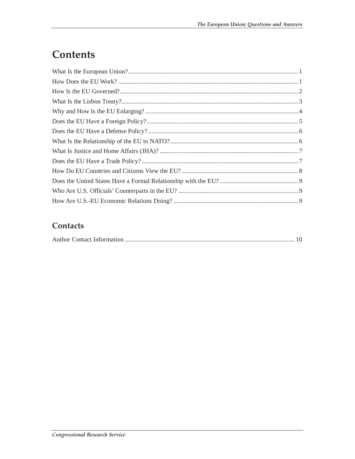# Contents

#### Contacts

|--|--|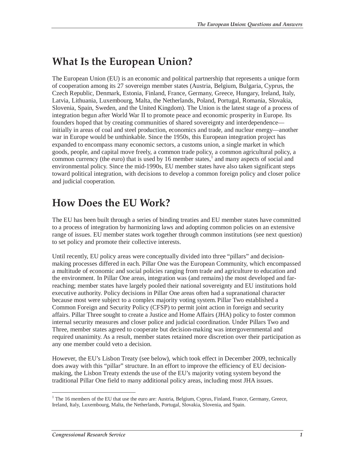#### **What Is the European Union?**

The European Union (EU) is an economic and political partnership that represents a unique form of cooperation among its 27 sovereign member states (Austria, Belgium, Bulgaria, Cyprus, the Czech Republic, Denmark, Estonia, Finland, France, Germany, Greece, Hungary, Ireland, Italy, Latvia, Lithuania, Luxembourg, Malta, the Netherlands, Poland, Portugal, Romania, Slovakia, Slovenia, Spain, Sweden, and the United Kingdom). The Union is the latest stage of a process of integration begun after World War II to promote peace and economic prosperity in Europe. Its founders hoped that by creating communities of shared sovereignty and interdependence initially in areas of coal and steel production, economics and trade, and nuclear energy—another war in Europe would be unthinkable. Since the 1950s, this European integration project has expanded to encompass many economic sectors, a customs union, a single market in which goods, people, and capital move freely, a common trade policy, a common agricultural policy, a common currency (the euro) that is used by 16 member states, $\frac{1}{1}$  and many aspects of social and environmental policy. Since the mid-1990s, EU member states have also taken significant steps toward political integration, with decisions to develop a common foreign policy and closer police and judicial cooperation.

### **How Does the EU Work?**

The EU has been built through a series of binding treaties and EU member states have committed to a process of integration by harmonizing laws and adopting common policies on an extensive range of issues. EU member states work together through common institutions (see next question) to set policy and promote their collective interests.

Until recently, EU policy areas were conceptually divided into three "pillars" and decisionmaking processes differed in each. Pillar One was the European Community, which encompassed a multitude of economic and social policies ranging from trade and agriculture to education and the environment. In Pillar One areas, integration was (and remains) the most developed and farreaching; member states have largely pooled their national sovereignty and EU institutions hold executive authority. Policy decisions in Pillar One areas often had a supranational character because most were subject to a complex majority voting system. Pillar Two established a Common Foreign and Security Policy (CFSP) to permit joint action in foreign and security affairs. Pillar Three sought to create a Justice and Home Affairs (JHA) policy to foster common internal security measures and closer police and judicial coordination. Under Pillars Two and Three, member states agreed to cooperate but decision-making was intergovernmental and required unanimity. As a result, member states retained more discretion over their participation as any one member could veto a decision.

However, the EU's Lisbon Treaty (see below), which took effect in December 2009, technically does away with this "pillar" structure. In an effort to improve the efficiency of EU decisionmaking, the Lisbon Treaty extends the use of the EU's majority voting system beyond the traditional Pillar One field to many additional policy areas, including most JHA issues.

<sup>-</sup><sup>1</sup> The 16 members of the EU that use the euro are: Austria, Belgium, Cyprus, Finland, France, Germany, Greece, Ireland, Italy, Luxembourg, Malta, the Netherlands, Portugal, Slovakia, Slovenia, and Spain.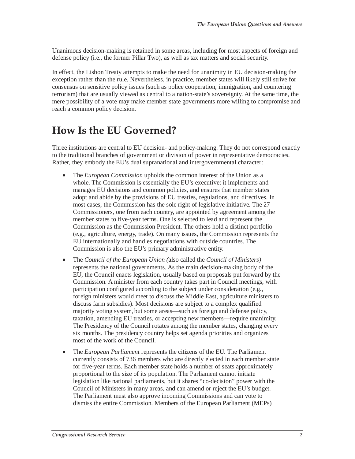Unanimous decision-making is retained in some areas, including for most aspects of foreign and defense policy (i.e., the former Pillar Two), as well as tax matters and social security.

In effect, the Lisbon Treaty attempts to make the need for unanimity in EU decision-making the exception rather than the rule. Nevertheless, in practice, member states will likely still strive for consensus on sensitive policy issues (such as police cooperation, immigration, and countering terrorism) that are usually viewed as central to a nation-state's sovereignty. At the same time, the mere possibility of a vote may make member state governments more willing to compromise and reach a common policy decision.

#### **How Is the EU Governed?**

Three institutions are central to EU decision- and policy-making. They do not correspond exactly to the traditional branches of government or division of power in representative democracies. Rather, they embody the EU's dual supranational and intergovernmental character:

- The *European Commission* upholds the common interest of the Union as a whole. The Commission is essentially the EU's executive: it implements and manages EU decisions and common policies, and ensures that member states adopt and abide by the provisions of EU treaties, regulations, and directives. In most cases, the Commission has the sole right of legislative initiative. The 27 Commissioners, one from each country, are appointed by agreement among the member states to five-year terms. One is selected to lead and represent the Commission as the Commission President. The others hold a distinct portfolio (e.g., agriculture, energy, trade). On many issues, the Commission represents the EU internationally and handles negotiations with outside countries. The Commission is also the EU's primary administrative entity.
- The *Council of the European Union (*also called the *Council of Ministers)* represents the national governments. As the main decision-making body of the EU, the Council enacts legislation, usually based on proposals put forward by the Commission. A minister from each country takes part in Council meetings, with participation configured according to the subject under consideration (e.g., foreign ministers would meet to discuss the Middle East, agriculture ministers to discuss farm subsidies). Most decisions are subject to a complex qualified majority voting system, but some areas—such as foreign and defense policy, taxation, amending EU treaties, or accepting new members—require unanimity. The Presidency of the Council rotates among the member states, changing every six months. The presidency country helps set agenda priorities and organizes most of the work of the Council.
- The *European Parliament* represents the citizens of the EU. The Parliament currently consists of 736 members who are directly elected in each member state for five-year terms. Each member state holds a number of seats approximately proportional to the size of its population. The Parliament cannot initiate legislation like national parliaments, but it shares "co-decision" power with the Council of Ministers in many areas, and can amend or reject the EU's budget. The Parliament must also approve incoming Commissions and can vote to dismiss the entire Commission. Members of the European Parliament (MEPs)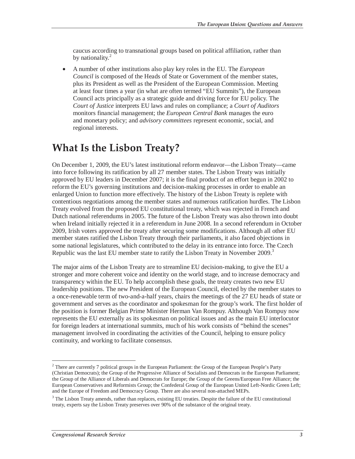caucus according to transnational groups based on political affiliation, rather than by nationality.<sup>2</sup>

• A number of other institutions also play key roles in the EU. The *European Council* is composed of the Heads of State or Government of the member states, plus its President as well as the President of the European Commission. Meeting at least four times a year (in what are often termed "EU Summits"), the European Council acts principally as a strategic guide and driving force for EU policy. The *Court of Justice* interprets EU laws and rules on compliance; a *Court of Auditors* monitors financial management; the *European Central Bank* manages the euro and monetary policy; and *advisory committees* represent economic, social, and regional interests.

#### **What Is the Lisbon Treaty?**

On December 1, 2009, the EU's latest institutional reform endeavor—the Lisbon Treaty—came into force following its ratification by all 27 member states. The Lisbon Treaty was initially approved by EU leaders in December 2007; it is the final product of an effort begun in 2002 to reform the EU's governing institutions and decision-making processes in order to enable an enlarged Union to function more effectively. The history of the Lisbon Treaty is replete with contentious negotiations among the member states and numerous ratification hurdles. The Lisbon Treaty evolved from the proposed EU constitutional treaty, which was rejected in French and Dutch national referendums in 2005. The future of the Lisbon Treaty was also thrown into doubt when Ireland initially rejected it in a referendum in June 2008. In a second referendum in October 2009, Irish voters approved the treaty after securing some modifications. Although all other EU member states ratified the Lisbon Treaty through their parliaments, it also faced objections in some national legislatures, which contributed to the delay in its entrance into force. The Czech Republic was the last EU member state to ratify the Lisbon Treaty in November 2009.<sup>3</sup>

The major aims of the Lisbon Treaty are to streamline EU decision-making, to give the EU a stronger and more coherent voice and identity on the world stage, and to increase democracy and transparency within the EU. To help accomplish these goals, the treaty creates two new EU leadership positions. The new President of the European Council, elected by the member states to a once-renewable term of two-and-a-half years, chairs the meetings of the 27 EU heads of state or government and serves as the coordinator and spokesman for the group's work. The first holder of the position is former Belgian Prime Minister Herman Van Rompuy. Although Van Rompuy now represents the EU externally as its spokesman on political issues and as the main EU interlocutor for foreign leaders at international summits, much of his work consists of "behind the scenes" management involved in coordinating the activities of the Council, helping to ensure policy continuity, and working to facilitate consensus.

 $\overline{a}$ <sup>2</sup> There are currently 7 political groups in the European Parliament: the Group of the European People's Party (Christian Democrats); the Group of the Progressive Alliance of Socialists and Democrats in the European Parliament; the Group of the Alliance of Liberals and Democrats for Europe; the Group of the Greens/European Free Alliance; the European Conservatives and Reformists Group; the Confederal Group of the European United Left-Nordic Green Left; and the Europe of Freedom and Democracy Group. There are also several non-attached MEPs.

<sup>&</sup>lt;sup>3</sup> The Lisbon Treaty amends, rather than replaces, existing EU treaties. Despite the failure of the EU constitutional treaty, experts say the Lisbon Treaty preserves over 90% of the substance of the original treaty.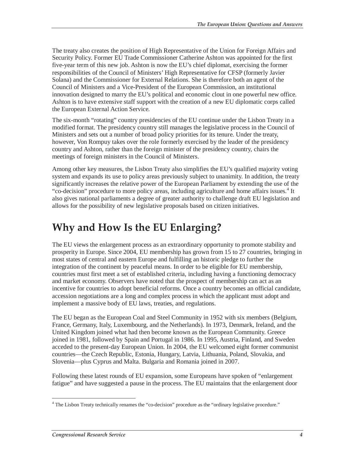The treaty also creates the position of High Representative of the Union for Foreign Affairs and Security Policy. Former EU Trade Commissioner Catherine Ashton was appointed for the first five-year term of this new job. Ashton is now the EU's chief diplomat, exercising the former responsibilities of the Council of Ministers' High Representative for CFSP (formerly Javier Solana) and the Commissioner for External Relations. She is therefore both an agent of the Council of Ministers and a Vice-President of the European Commission, an institutional innovation designed to marry the EU's political and economic clout in one powerful new office. Ashton is to have extensive staff support with the creation of a new EU diplomatic corps called the European External Action Service.

The six-month "rotating" country presidencies of the EU continue under the Lisbon Treaty in a modified format. The presidency country still manages the legislative process in the Council of Ministers and sets out a number of broad policy priorities for its tenure. Under the treaty, however, Von Rompuy takes over the role formerly exercised by the leader of the presidency country and Ashton, rather than the foreign minister of the presidency country, chairs the meetings of foreign ministers in the Council of Ministers.

Among other key measures, the Lisbon Treaty also simplifies the EU's qualified majority voting system and expands its use to policy areas previously subject to unanimity. In addition, the treaty significantly increases the relative power of the European Parliament by extending the use of the "co-decision" procedure to more policy areas, including agriculture and home affairs issues.<sup>4</sup> It also gives national parliaments a degree of greater authority to challenge draft EU legislation and allows for the possibility of new legislative proposals based on citizen initiatives.

### **Why and How Is the EU Enlarging?**

The EU views the enlargement process as an extraordinary opportunity to promote stability and prosperity in Europe. Since 2004, EU membership has grown from 15 to 27 countries, bringing in most states of central and eastern Europe and fulfilling an historic pledge to further the integration of the continent by peaceful means. In order to be eligible for EU membership, countries must first meet a set of established criteria, including having a functioning democracy and market economy. Observers have noted that the prospect of membership can act as an incentive for countries to adopt beneficial reforms. Once a country becomes an official candidate, accession negotiations are a long and complex process in which the applicant must adopt and implement a massive body of EU laws, treaties, and regulations.

The EU began as the European Coal and Steel Community in 1952 with six members (Belgium, France, Germany, Italy, Luxembourg, and the Netherlands). In 1973, Denmark, Ireland, and the United Kingdom joined what had then become known as the European Community. Greece joined in 1981, followed by Spain and Portugal in 1986. In 1995, Austria, Finland, and Sweden acceded to the present-day European Union. In 2004, the EU welcomed eight former communist countries—the Czech Republic, Estonia, Hungary, Latvia, Lithuania, Poland, Slovakia, and Slovenia—plus Cyprus and Malta. Bulgaria and Romania joined in 2007.

Following these latest rounds of EU expansion, some Europeans have spoken of "enlargement fatigue" and have suggested a pause in the process. The EU maintains that the enlargement door

The Lisbon Treaty technically renames the "co-decision" procedure as the "ordinary legislative procedure."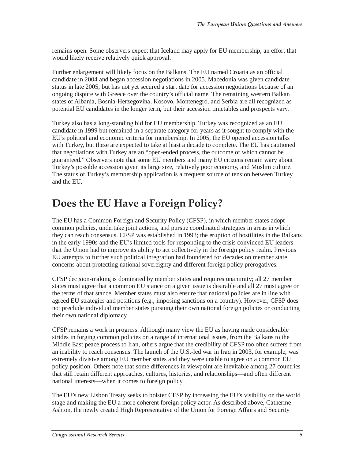remains open. Some observers expect that Iceland may apply for EU membership, an effort that would likely receive relatively quick approval.

Further enlargement will likely focus on the Balkans. The EU named Croatia as an official candidate in 2004 and began accession negotiations in 2005. Macedonia was given candidate status in late 2005, but has not yet secured a start date for accession negotiations because of an ongoing dispute with Greece over the country's official name. The remaining western Balkan states of Albania, Bosnia-Herzegovina, Kosovo, Montenegro, and Serbia are all recognized as potential EU candidates in the longer term, but their accession timetables and prospects vary.

Turkey also has a long-standing bid for EU membership. Turkey was recognized as an EU candidate in 1999 but remained in a separate category for years as it sought to comply with the EU's political and economic criteria for membership. In 2005, the EU opened accession talks with Turkey, but these are expected to take at least a decade to complete. The EU has cautioned that negotiations with Turkey are an "open-ended process, the outcome of which cannot be guaranteed." Observers note that some EU members and many EU citizens remain wary about Turkey's possible accession given its large size, relatively poor economy, and Muslim culture. The status of Turkey's membership application is a frequent source of tension between Turkey and the EU.

#### **Does the EU Have a Foreign Policy?**

The EU has a Common Foreign and Security Policy (CFSP), in which member states adopt common policies, undertake joint actions, and pursue coordinated strategies in areas in which they can reach consensus. CFSP was established in 1993; the eruption of hostilities in the Balkans in the early 1990s and the EU's limited tools for responding to the crisis convinced EU leaders that the Union had to improve its ability to act collectively in the foreign policy realm. Previous EU attempts to further such political integration had foundered for decades on member state concerns about protecting national sovereignty and different foreign policy prerogatives.

CFSP decision-making is dominated by member states and requires unanimity; all 27 member states must agree that a common EU stance on a given issue is desirable and all 27 must agree on the terms of that stance. Member states must also ensure that national policies are in line with agreed EU strategies and positions (e.g., imposing sanctions on a country). However, CFSP does not preclude individual member states pursuing their own national foreign policies or conducting their own national diplomacy.

CFSP remains a work in progress. Although many view the EU as having made considerable strides in forging common policies on a range of international issues, from the Balkans to the Middle East peace process to Iran, others argue that the credibility of CFSP too often suffers from an inability to reach consensus. The launch of the U.S.-led war in Iraq in 2003, for example, was extremely divisive among EU member states and they were unable to agree on a common EU policy position. Others note that some differences in viewpoint are inevitable among 27 countries that still retain different approaches, cultures, histories, and relationships—and often different national interests—when it comes to foreign policy.

The EU's new Lisbon Treaty seeks to bolster CFSP by increasing the EU's visibility on the world stage and making the EU a more coherent foreign policy actor. As described above, Catherine Ashton, the newly created High Representative of the Union for Foreign Affairs and Security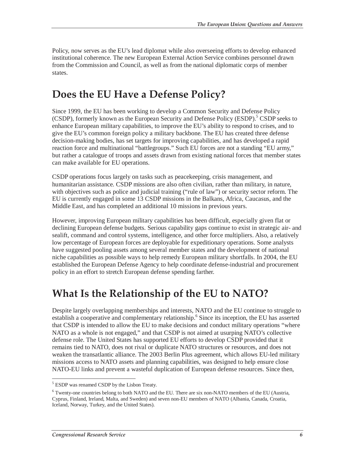Policy, now serves as the EU's lead diplomat while also overseeing efforts to develop enhanced institutional coherence. The new European External Action Service combines personnel drawn from the Commission and Council, as well as from the national diplomatic corps of member states.

#### **Does the EU Have a Defense Policy?**

Since 1999, the EU has been working to develop a Common Security and Defense Policy (CSDP), formerly known as the European Security and Defense Policy (ESDP).<sup>5</sup> CSDP seeks to enhance European military capabilities, to improve the EU's ability to respond to crises, and to give the EU's common foreign policy a military backbone. The EU has created three defense decision-making bodies, has set targets for improving capabilities, and has developed a rapid reaction force and multinational "battlegroups." Such EU forces are not a standing "EU army," but rather a catalogue of troops and assets drawn from existing national forces that member states can make available for EU operations.

CSDP operations focus largely on tasks such as peacekeeping, crisis management, and humanitarian assistance. CSDP missions are also often civilian, rather than military, in nature, with objectives such as police and judicial training ("rule of law") or security sector reform. The EU is currently engaged in some 13 CSDP missions in the Balkans, Africa, Caucasus, and the Middle East, and has completed an additional 10 missions in previous years.

However, improving European military capabilities has been difficult, especially given flat or declining European defense budgets. Serious capability gaps continue to exist in strategic air- and sealift, command and control systems, intelligence, and other force multipliers. Also, a relatively low percentage of European forces are deployable for expeditionary operations. Some analysts have suggested pooling assets among several member states and the development of national niche capabilities as possible ways to help remedy European military shortfalls. In 2004, the EU established the European Defense Agency to help coordinate defense-industrial and procurement policy in an effort to stretch European defense spending farther.

#### **What Is the Relationship of the EU to NATO?**

Despite largely overlapping memberships and interests, NATO and the EU continue to struggle to establish a cooperative and complementary relationship.<sup>6</sup> Since its inception, the EU has asserted that CSDP is intended to allow the EU to make decisions and conduct military operations "where NATO as a whole is not engaged," and that CSDP is not aimed at usurping NATO's collective defense role. The United States has supported EU efforts to develop CSDP provided that it remains tied to NATO, does not rival or duplicate NATO structures or resources, and does not weaken the transatlantic alliance. The 2003 Berlin Plus agreement, which allows EU-led military missions access to NATO assets and planning capabilities, was designed to help ensure close NATO-EU links and prevent a wasteful duplication of European defense resources. Since then,

<sup>-</sup><sup>5</sup> ESDP was renamed CSDP by the Lisbon Treaty.

<sup>&</sup>lt;sup>6</sup> Twenty-one countries belong to both NATO and the EU. There are six non-NATO members of the EU (Austria, Cyprus, Finland, Ireland, Malta, and Sweden) and seven non-EU members of NATO (Albania, Canada, Croatia, Iceland, Norway, Turkey, and the United States).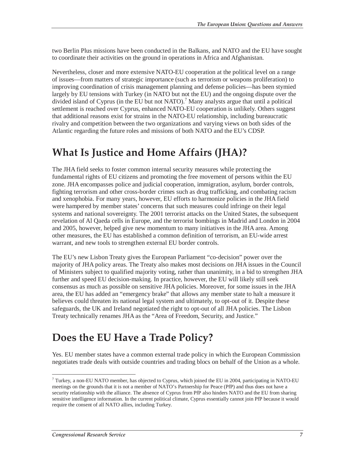two Berlin Plus missions have been conducted in the Balkans, and NATO and the EU have sought to coordinate their activities on the ground in operations in Africa and Afghanistan.

Nevertheless, closer and more extensive NATO-EU cooperation at the political level on a range of issues—from matters of strategic importance (such as terrorism or weapons proliferation) to improving coordination of crisis management planning and defense policies—has been stymied largely by EU tensions with Turkey (in NATO but not the EU) and the ongoing dispute over the divided island of Cyprus (in the EU but not NATO).<sup>7</sup> Many analysts argue that until a political settlement is reached over Cyprus, enhanced NATO-EU cooperation is unlikely. Others suggest that additional reasons exist for strains in the NATO-EU relationship, including bureaucratic rivalry and competition between the two organizations and varying views on both sides of the Atlantic regarding the future roles and missions of both NATO and the EU's CDSP.

### **What Is Justice and Home Affairs (JHA)?**

The JHA field seeks to foster common internal security measures while protecting the fundamental rights of EU citizens and promoting the free movement of persons within the EU zone. JHA encompasses police and judicial cooperation, immigration, asylum, border controls, fighting terrorism and other cross-border crimes such as drug trafficking, and combating racism and xenophobia. For many years, however, EU efforts to harmonize policies in the JHA field were hampered by member states' concerns that such measures could infringe on their legal systems and national sovereignty. The 2001 terrorist attacks on the United States, the subsequent revelation of Al Qaeda cells in Europe, and the terrorist bombings in Madrid and London in 2004 and 2005, however, helped give new momentum to many initiatives in the JHA area. Among other measures, the EU has established a common definition of terrorism, an EU-wide arrest warrant, and new tools to strengthen external EU border controls.

The EU's new Lisbon Treaty gives the European Parliament "co-decision" power over the majority of JHA policy areas. The Treaty also makes most decisions on JHA issues in the Council of Ministers subject to qualified majority voting, rather than unanimity, in a bid to strengthen JHA further and speed EU decision-making. In practice, however, the EU will likely still seek consensus as much as possible on sensitive JHA policies. Moreover, for some issues in the JHA area, the EU has added an "emergency brake" that allows any member state to halt a measure it believes could threaten its national legal system and ultimately, to opt-out of it. Despite these safeguards, the UK and Ireland negotiated the right to opt-out of all JHA policies. The Lisbon Treaty technically renames JHA as the "Area of Freedom, Security, and Justice."

#### **Does the EU Have a Trade Policy?**

Yes. EU member states have a common external trade policy in which the European Commission negotiates trade deals with outside countries and trading blocs on behalf of the Union as a whole.

<sup>-</sup><sup>7</sup> Turkey, a non-EU NATO member, has objected to Cyprus, which joined the EU in 2004, participating in NATO-EU meetings on the grounds that it is not a member of NATO's Partnership for Peace (PfP) and thus does not have a security relationship with the alliance. The absence of Cyprus from PfP also hinders NATO and the EU from sharing sensitive intelligence information. In the current political climate, Cyprus essentially cannot join PfP because it would require the consent of all NATO allies, including Turkey.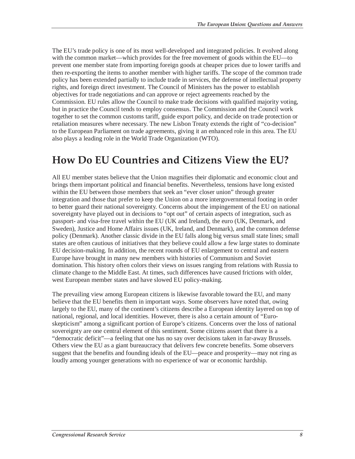The EU's trade policy is one of its most well-developed and integrated policies. It evolved along with the common market—which provides for the free movement of goods within the EU—to prevent one member state from importing foreign goods at cheaper prices due to lower tariffs and then re-exporting the items to another member with higher tariffs. The scope of the common trade policy has been extended partially to include trade in services, the defense of intellectual property rights, and foreign direct investment. The Council of Ministers has the power to establish objectives for trade negotiations and can approve or reject agreements reached by the Commission. EU rules allow the Council to make trade decisions with qualified majority voting, but in practice the Council tends to employ consensus. The Commission and the Council work together to set the common customs tariff, guide export policy, and decide on trade protection or retaliation measures where necessary. The new Lisbon Treaty extends the right of "co-decision" to the European Parliament on trade agreements, giving it an enhanced role in this area. The EU also plays a leading role in the World Trade Organization (WTO).

#### **How Do EU Countries and Citizens View the EU?**

All EU member states believe that the Union magnifies their diplomatic and economic clout and brings them important political and financial benefits. Nevertheless, tensions have long existed within the EU between those members that seek an "ever closer union" through greater integration and those that prefer to keep the Union on a more intergovernmental footing in order to better guard their national sovereignty. Concerns about the impingement of the EU on national sovereignty have played out in decisions to "opt out" of certain aspects of integration, such as passport- and visa-free travel within the EU (UK and Ireland), the euro (UK, Denmark, and Sweden), Justice and Home Affairs issues (UK, Ireland, and Denmark), and the common defense policy (Denmark). Another classic divide in the EU falls along big versus small state lines; small states are often cautious of initiatives that they believe could allow a few large states to dominate EU decision-making. In addition, the recent rounds of EU enlargement to central and eastern Europe have brought in many new members with histories of Communism and Soviet domination. This history often colors their views on issues ranging from relations with Russia to climate change to the Middle East. At times, such differences have caused frictions with older, west European member states and have slowed EU policy-making.

The prevailing view among European citizens is likewise favorable toward the EU, and many believe that the EU benefits them in important ways. Some observers have noted that, owing largely to the EU, many of the continent's citizens describe a European identity layered on top of national, regional, and local identities. However, there is also a certain amount of "Euroskepticism" among a significant portion of Europe's citizens. Concerns over the loss of national sovereignty are one central element of this sentiment. Some citizens assert that there is a "democratic deficit"—a feeling that one has no say over decisions taken in far-away Brussels. Others view the EU as a giant bureaucracy that delivers few concrete benefits. Some observers suggest that the benefits and founding ideals of the EU—peace and prosperity—may not ring as loudly among younger generations with no experience of war or economic hardship.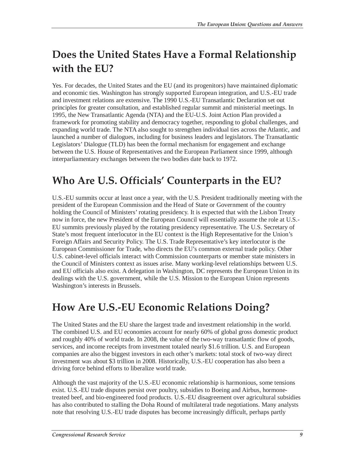# **Does the United States Have a Formal Relationship with the EU?**

Yes. For decades, the United States and the EU (and its progenitors) have maintained diplomatic and economic ties. Washington has strongly supported European integration, and U.S.-EU trade and investment relations are extensive. The 1990 U.S.-EU Transatlantic Declaration set out principles for greater consultation, and established regular summit and ministerial meetings. In 1995, the New Transatlantic Agenda (NTA) and the EU-U.S. Joint Action Plan provided a framework for promoting stability and democracy together, responding to global challenges, and expanding world trade. The NTA also sought to strengthen individual ties across the Atlantic, and launched a number of dialogues, including for business leaders and legislators. The Transatlantic Legislators' Dialogue (TLD) has been the formal mechanism for engagement and exchange between the U.S. House of Representatives and the European Parliament since 1999, although interparliamentary exchanges between the two bodies date back to 1972.

### **Who Are U.S. Officials' Counterparts in the EU?**

U.S.-EU summits occur at least once a year, with the U.S. President traditionally meeting with the president of the European Commission and the Head of State or Government of the country holding the Council of Ministers' rotating presidency. It is expected that with the Lisbon Treaty now in force, the new President of the European Council will essentially assume the role at U.S.- EU summits previously played by the rotating presidency representative. The U.S. Secretary of State's most frequent interlocutor in the EU context is the High Representative for the Union's Foreign Affairs and Security Policy. The U.S. Trade Representative's key interlocutor is the European Commissioner for Trade, who directs the EU's common external trade policy. Other U.S. cabinet-level officials interact with Commission counterparts or member state ministers in the Council of Ministers context as issues arise. Many working-level relationships between U.S. and EU officials also exist. A delegation in Washington, DC represents the European Union in its dealings with the U.S. government, while the U.S. Mission to the European Union represents Washington's interests in Brussels.

#### **How Are U.S.-EU Economic Relations Doing?**

The United States and the EU share the largest trade and investment relationship in the world. The combined U.S. and EU economies account for nearly 60% of global gross domestic product and roughly 40% of world trade. In 2008, the value of the two-way transatlantic flow of goods, services, and income receipts from investment totaled nearly \$1.6 trillion. U.S. and European companies are also the biggest investors in each other's markets: total stock of two-way direct investment was about \$3 trillion in 2008. Historically, U.S.-EU cooperation has also been a driving force behind efforts to liberalize world trade.

Although the vast majority of the U.S.-EU economic relationship is harmonious, some tensions exist. U.S.-EU trade disputes persist over poultry, subsidies to Boeing and Airbus, hormonetreated beef, and bio-engineered food products. U.S.-EU disagreement over agricultural subsidies has also contributed to stalling the Doha Round of multilateral trade negotiations. Many analysts note that resolving U.S.-EU trade disputes has become increasingly difficult, perhaps partly